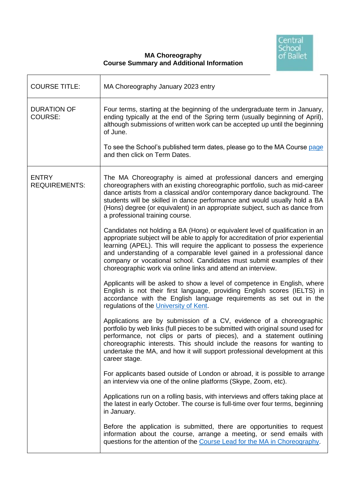

## **MA Choreography Course Summary and Additional Information**

| <b>COURSE TITLE:</b>                 | MA Choreography January 2023 entry                                                                                                                                                                                                                                                                                                                                                                                                                                   |
|--------------------------------------|----------------------------------------------------------------------------------------------------------------------------------------------------------------------------------------------------------------------------------------------------------------------------------------------------------------------------------------------------------------------------------------------------------------------------------------------------------------------|
| <b>DURATION OF</b><br>COURSE:        | Four terms, starting at the beginning of the undergraduate term in January,<br>ending typically at the end of the Spring term (usually beginning of April),<br>although submissions of written work can be accepted up until the beginning<br>of June.<br>To see the School's published term dates, please go to the MA Course page<br>and then click on Term Dates.                                                                                                 |
|                                      |                                                                                                                                                                                                                                                                                                                                                                                                                                                                      |
| <b>ENTRY</b><br><b>REQUIREMENTS:</b> | The MA Choreography is aimed at professional dancers and emerging<br>choreographers with an existing choreographic portfolio, such as mid-career<br>dance artists from a classical and/or contemporary dance background. The<br>students will be skilled in dance performance and would usually hold a BA<br>(Hons) degree (or equivalent) in an appropriate subject, such as dance from<br>a professional training course.                                          |
|                                      | Candidates not holding a BA (Hons) or equivalent level of qualification in an<br>appropriate subject will be able to apply for accreditation of prior experiential<br>learning (APEL). This will require the applicant to possess the experience<br>and understanding of a comparable level gained in a professional dance<br>company or vocational school. Candidates must submit examples of their<br>choreographic work via online links and attend an interview. |
|                                      | Applicants will be asked to show a level of competence in English, where<br>English is not their first language, providing English scores (IELTS) in<br>accordance with the English language requirements as set out in the<br>regulations of the University of Kent.                                                                                                                                                                                                |
|                                      | Applications are by submission of a CV, evidence of a choreographic<br>portfolio by web links (full pieces to be submitted with original sound used for<br>performance, not clips or parts of pieces), and a statement outlining<br>choreographic interests. This should include the reasons for wanting to<br>undertake the MA, and how it will support professional development at this<br>career stage.                                                           |
|                                      | For applicants based outside of London or abroad, it is possible to arrange<br>an interview via one of the online platforms (Skype, Zoom, etc).                                                                                                                                                                                                                                                                                                                      |
|                                      | Applications run on a rolling basis, with interviews and offers taking place at<br>the latest in early October. The course is full-time over four terms, beginning<br>in January.                                                                                                                                                                                                                                                                                    |
|                                      | Before the application is submitted, there are opportunities to request<br>information about the course, arrange a meeting, or send emails with<br>questions for the attention of the Course Lead for the MA in Choreography.                                                                                                                                                                                                                                        |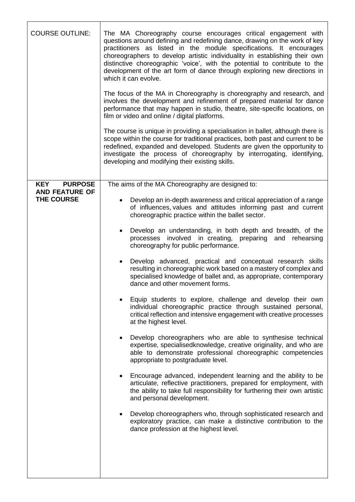| <b>COURSE OUTLINE:</b>              | The MA Choreography course encourages critical engagement with<br>questions around defining and redefining dance, drawing on the work of key<br>practitioners as listed in the module specifications. It encourages<br>choreographers to develop artistic individuality in establishing their own<br>distinctive choreographic 'voice', with the potential to contribute to the<br>development of the art form of dance through exploring new directions in<br>which it can evolve.<br>The focus of the MA in Choreography is choreography and research, and<br>involves the development and refinement of prepared material for dance<br>performance that may happen in studio, theatre, site-specific locations, on<br>film or video and online / digital platforms.<br>The course is unique in providing a specialisation in ballet, although there is<br>scope within the course for traditional practices, both past and current to be<br>redefined, expanded and developed. Students are given the opportunity to<br>investigate the process of choreography by interrogating, identifying,<br>developing and modifying their existing skills.                                                                                                                                                                                                                                                                                                                                                                                          |
|-------------------------------------|-----------------------------------------------------------------------------------------------------------------------------------------------------------------------------------------------------------------------------------------------------------------------------------------------------------------------------------------------------------------------------------------------------------------------------------------------------------------------------------------------------------------------------------------------------------------------------------------------------------------------------------------------------------------------------------------------------------------------------------------------------------------------------------------------------------------------------------------------------------------------------------------------------------------------------------------------------------------------------------------------------------------------------------------------------------------------------------------------------------------------------------------------------------------------------------------------------------------------------------------------------------------------------------------------------------------------------------------------------------------------------------------------------------------------------------------------------------------------------------------------------------------------------------------------|
| <b>KEY</b><br><b>PURPOSE</b>        | The aims of the MA Choreography are designed to:                                                                                                                                                                                                                                                                                                                                                                                                                                                                                                                                                                                                                                                                                                                                                                                                                                                                                                                                                                                                                                                                                                                                                                                                                                                                                                                                                                                                                                                                                              |
| <b>AND FEATURE OF</b><br>THE COURSE | Develop an in-depth awareness and critical appreciation of a range<br>of influences, values and attitudes informing past and current<br>choreographic practice within the ballet sector.<br>Develop an understanding, in both depth and breadth, of the<br>processes involved in creating, preparing and rehearsing<br>choreography for public performance.<br>Develop advanced, practical and conceptual research skills<br>$\bullet$<br>resulting in choreographic work based on a mastery of complex and<br>specialised knowledge of ballet and, as appropriate, contemporary<br>dance and other movement forms.<br>Equip students to explore, challenge and develop their own<br>individual choreographic practice through sustained personal,<br>critical reflection and intensive engagement with creative processes<br>at the highest level.<br>Develop choreographers who are able to synthesise technical<br>expertise, specialisedknowledge, creative originality, and who are<br>able to demonstrate professional choreographic competencies<br>appropriate to postgraduate level.<br>Encourage advanced, independent learning and the ability to be<br>$\bullet$<br>articulate, reflective practitioners, prepared for employment, with<br>the ability to take full responsibility for furthering their own artistic<br>and personal development.<br>Develop choreographers who, through sophisticated research and<br>exploratory practice, can make a distinctive contribution to the<br>dance profession at the highest level. |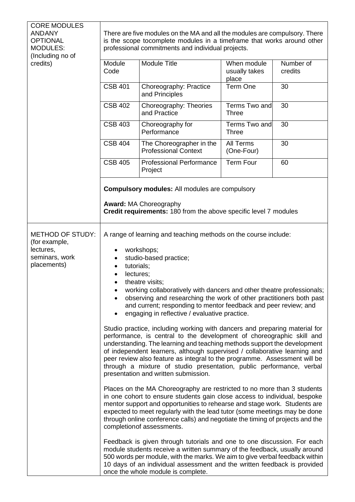| <b>CORE MODULES</b><br><b>ANDANY</b><br><b>OPTIONAL</b><br><b>MODULES:</b><br>(Including no of<br>credits) | There are five modules on the MA and all the modules are compulsory. There<br>is the scope tocomplete modules in a timeframe that works around other<br>professional commitments and individual projects.                                                                                                                                                                                                                                                                                                                                                                                                                                                                                                                                                                                                                                                                                                                                                                                                                                                                                                                                                                                                                                                                                                                                                                                                                                                                                                                                                                                                                                                                                              |                                                         |                                       |                      |
|------------------------------------------------------------------------------------------------------------|--------------------------------------------------------------------------------------------------------------------------------------------------------------------------------------------------------------------------------------------------------------------------------------------------------------------------------------------------------------------------------------------------------------------------------------------------------------------------------------------------------------------------------------------------------------------------------------------------------------------------------------------------------------------------------------------------------------------------------------------------------------------------------------------------------------------------------------------------------------------------------------------------------------------------------------------------------------------------------------------------------------------------------------------------------------------------------------------------------------------------------------------------------------------------------------------------------------------------------------------------------------------------------------------------------------------------------------------------------------------------------------------------------------------------------------------------------------------------------------------------------------------------------------------------------------------------------------------------------------------------------------------------------------------------------------------------------|---------------------------------------------------------|---------------------------------------|----------------------|
|                                                                                                            | Module<br>Code                                                                                                                                                                                                                                                                                                                                                                                                                                                                                                                                                                                                                                                                                                                                                                                                                                                                                                                                                                                                                                                                                                                                                                                                                                                                                                                                                                                                                                                                                                                                                                                                                                                                                         | <b>Module Title</b>                                     | When module<br>usually takes<br>place | Number of<br>credits |
|                                                                                                            | <b>CSB 401</b>                                                                                                                                                                                                                                                                                                                                                                                                                                                                                                                                                                                                                                                                                                                                                                                                                                                                                                                                                                                                                                                                                                                                                                                                                                                                                                                                                                                                                                                                                                                                                                                                                                                                                         | Choreography: Practice<br>and Principles                | Term One                              | 30                   |
|                                                                                                            | <b>CSB 402</b>                                                                                                                                                                                                                                                                                                                                                                                                                                                                                                                                                                                                                                                                                                                                                                                                                                                                                                                                                                                                                                                                                                                                                                                                                                                                                                                                                                                                                                                                                                                                                                                                                                                                                         | Choreography: Theories<br>and Practice                  | Terms Two and<br><b>Three</b>         | 30                   |
|                                                                                                            | <b>CSB 403</b>                                                                                                                                                                                                                                                                                                                                                                                                                                                                                                                                                                                                                                                                                                                                                                                                                                                                                                                                                                                                                                                                                                                                                                                                                                                                                                                                                                                                                                                                                                                                                                                                                                                                                         | Choreography for<br>Performance                         | Terms Two and<br><b>Three</b>         | 30                   |
|                                                                                                            | <b>CSB 404</b>                                                                                                                                                                                                                                                                                                                                                                                                                                                                                                                                                                                                                                                                                                                                                                                                                                                                                                                                                                                                                                                                                                                                                                                                                                                                                                                                                                                                                                                                                                                                                                                                                                                                                         | The Choreographer in the<br><b>Professional Context</b> | All Terms<br>(One-Four)               | 30                   |
|                                                                                                            | <b>CSB 405</b>                                                                                                                                                                                                                                                                                                                                                                                                                                                                                                                                                                                                                                                                                                                                                                                                                                                                                                                                                                                                                                                                                                                                                                                                                                                                                                                                                                                                                                                                                                                                                                                                                                                                                         | <b>Professional Performance</b><br>Project              | <b>Term Four</b>                      | 60                   |
|                                                                                                            | <b>Compulsory modules:</b> All modules are compulsory                                                                                                                                                                                                                                                                                                                                                                                                                                                                                                                                                                                                                                                                                                                                                                                                                                                                                                                                                                                                                                                                                                                                                                                                                                                                                                                                                                                                                                                                                                                                                                                                                                                  |                                                         |                                       |                      |
|                                                                                                            | <b>Award: MA Choreography</b><br><b>Credit requirements: 180 from the above specific level 7 modules</b>                                                                                                                                                                                                                                                                                                                                                                                                                                                                                                                                                                                                                                                                                                                                                                                                                                                                                                                                                                                                                                                                                                                                                                                                                                                                                                                                                                                                                                                                                                                                                                                               |                                                         |                                       |                      |
| <b>METHOD OF STUDY:</b><br>(for example,<br>lectures,<br>seminars, work<br>placements)                     | A range of learning and teaching methods on the course include:<br>workshops;<br>studio-based practice;<br>tutorials;<br>lectures;<br>theatre visits;<br>$\bullet$<br>working collaboratively with dancers and other theatre professionals;<br>observing and researching the work of other practitioners both past<br>and current; responding to mentor feedback and peer review; and<br>engaging in reflective / evaluative practice.<br>Studio practice, including working with dancers and preparing material for<br>performance, is central to the development of choreographic skill and<br>understanding. The learning and teaching methods support the development<br>of independent learners, although supervised / collaborative learning and<br>peer review also feature as integral to the programme. Assessment will be<br>through a mixture of studio presentation, public performance, verbal<br>presentation and written submission.<br>Places on the MA Choreography are restricted to no more than 3 students<br>in one cohort to ensure students gain close access to individual, bespoke<br>mentor support and opportunities to rehearse and stage work. Students are<br>expected to meet regularly with the lead tutor (some meetings may be done<br>through online conference calls) and negotiate the timing of projects and the<br>completionof assessments.<br>Feedback is given through tutorials and one to one discussion. For each<br>module students receive a written summary of the feedback, usually around<br>500 words per module, with the marks. We aim to give verbal feedback within<br>10 days of an individual assessment and the written feedback is provided |                                                         |                                       |                      |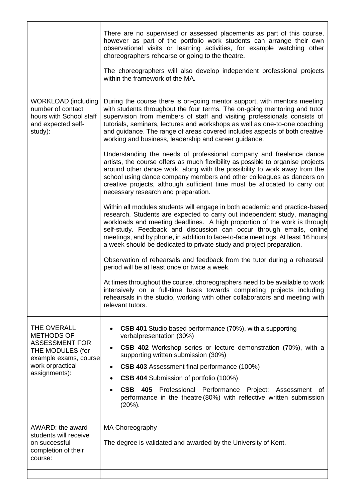|                                                                                                                                             | There are no supervised or assessed placements as part of this course,<br>however as part of the portfolio work students can arrange their own<br>observational visits or learning activities, for example watching other<br>choreographers rehearse or going to the theatre.<br>The choreographers will also develop independent professional projects<br>within the framework of the MA.                                                                              |  |  |
|---------------------------------------------------------------------------------------------------------------------------------------------|-------------------------------------------------------------------------------------------------------------------------------------------------------------------------------------------------------------------------------------------------------------------------------------------------------------------------------------------------------------------------------------------------------------------------------------------------------------------------|--|--|
| <b>WORKLOAD</b> (including<br>number of contact<br>hours with School staff<br>and expected self-<br>study):                                 | During the course there is on-going mentor support, with mentors meeting<br>with students throughout the four terms. The on-going mentoring and tutor<br>supervision from members of staff and visiting professionals consists of<br>tutorials, seminars, lectures and workshops as well as one-to-one coaching<br>and guidance. The range of areas covered includes aspects of both creative<br>working and business, leadership and career guidance.                  |  |  |
|                                                                                                                                             | Understanding the needs of professional company and freelance dance<br>artists, the course offers as much flexibility as possible to organise projects<br>around other dance work, along with the possibility to work away from the<br>school using dance company members and other colleagues as dancers on<br>creative projects, although sufficient time must be allocated to carry out<br>necessary research and preparation.                                       |  |  |
|                                                                                                                                             | Within all modules students will engage in both academic and practice-based<br>research. Students are expected to carry out independent study, managing<br>workloads and meeting deadlines. A high proportion of the work is through<br>self-study. Feedback and discussion can occur through emails, online<br>meetings, and by phone, in addition to face-to-face meetings. At least 16 hours<br>a week should be dedicated to private study and project preparation. |  |  |
|                                                                                                                                             | Observation of rehearsals and feedback from the tutor during a rehearsal<br>period will be at least once or twice a week.                                                                                                                                                                                                                                                                                                                                               |  |  |
|                                                                                                                                             | At times throughout the course, choreographers need to be available to work<br>intensively on a full-time basis towards completing projects including<br>rehearsals in the studio, working with other collaborators and meeting with<br>relevant tutors.                                                                                                                                                                                                                |  |  |
| THE OVERALL<br><b>METHODS OF</b><br><b>ASSESSMENT FOR</b><br>THE MODULES (for<br>example exams, course<br>work orpractical<br>assignments): | <b>CSB 401</b> Studio based performance (70%), with a supporting<br>verbalpresentation (30%)                                                                                                                                                                                                                                                                                                                                                                            |  |  |
|                                                                                                                                             | <b>CSB 402</b> Workshop series or lecture demonstration (70%), with a<br>$\bullet$<br>supporting written submission (30%)                                                                                                                                                                                                                                                                                                                                               |  |  |
|                                                                                                                                             | CSB 403 Assessment final performance (100%)                                                                                                                                                                                                                                                                                                                                                                                                                             |  |  |
|                                                                                                                                             | <b>CSB 404</b> Submission of portfolio (100%)                                                                                                                                                                                                                                                                                                                                                                                                                           |  |  |
|                                                                                                                                             | <b>CSB 405</b><br>Professional Performance Project: Assessment<br>ot<br>performance in the theatre (80%) with reflective written submission<br>$(20\%)$ .                                                                                                                                                                                                                                                                                                               |  |  |
| AWARD: the award<br>students will receive<br>on successful<br>completion of their<br>course:                                                | MA Choreography<br>The degree is validated and awarded by the University of Kent.                                                                                                                                                                                                                                                                                                                                                                                       |  |  |
|                                                                                                                                             |                                                                                                                                                                                                                                                                                                                                                                                                                                                                         |  |  |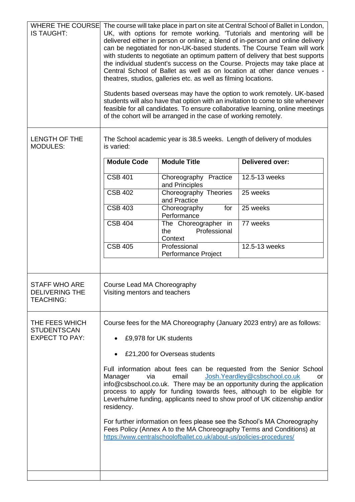| IS TAUGHT:                                                        |                                                                                                                                                                                                                                                                                                                                                                                                                                                                                                                                 | theatres, studios, galleries etc. as well as filming locations.<br>of the cohort will be arranged in the case of working remotely.            | WHERE THE COURSE The course will take place in part on site at Central School of Ballet in London,<br>UK, with options for remote working. 'Tutorials and mentoring will be<br>delivered either in person or online; a blend of in-person and online delivery<br>can be negotiated for non-UK-based students. The Course Team will work<br>with students to negotiate an optimum pattern of delivery that best supports<br>the individual student's success on the Course. Projects may take place at<br>Central School of Ballet as well as on location at other dance venues -<br>Students based overseas may have the option to work remotely. UK-based<br>students will also have that option with an invitation to come to site whenever<br>feasible for all candidates. To ensure collaborative learning, online meetings |
|-------------------------------------------------------------------|---------------------------------------------------------------------------------------------------------------------------------------------------------------------------------------------------------------------------------------------------------------------------------------------------------------------------------------------------------------------------------------------------------------------------------------------------------------------------------------------------------------------------------|-----------------------------------------------------------------------------------------------------------------------------------------------|---------------------------------------------------------------------------------------------------------------------------------------------------------------------------------------------------------------------------------------------------------------------------------------------------------------------------------------------------------------------------------------------------------------------------------------------------------------------------------------------------------------------------------------------------------------------------------------------------------------------------------------------------------------------------------------------------------------------------------------------------------------------------------------------------------------------------------|
| <b>LENGTH OF THE</b><br><b>MODULES:</b>                           | The School academic year is 38.5 weeks. Length of delivery of modules<br>is varied:                                                                                                                                                                                                                                                                                                                                                                                                                                             |                                                                                                                                               |                                                                                                                                                                                                                                                                                                                                                                                                                                                                                                                                                                                                                                                                                                                                                                                                                                 |
|                                                                   | <b>Module Code</b>                                                                                                                                                                                                                                                                                                                                                                                                                                                                                                              | <b>Module Title</b>                                                                                                                           | <b>Delivered over:</b>                                                                                                                                                                                                                                                                                                                                                                                                                                                                                                                                                                                                                                                                                                                                                                                                          |
|                                                                   | <b>CSB 401</b>                                                                                                                                                                                                                                                                                                                                                                                                                                                                                                                  | Choreography Practice<br>and Principles                                                                                                       | 12.5-13 weeks                                                                                                                                                                                                                                                                                                                                                                                                                                                                                                                                                                                                                                                                                                                                                                                                                   |
|                                                                   | <b>CSB 402</b>                                                                                                                                                                                                                                                                                                                                                                                                                                                                                                                  | Choreography Theories<br>and Practice                                                                                                         | 25 weeks                                                                                                                                                                                                                                                                                                                                                                                                                                                                                                                                                                                                                                                                                                                                                                                                                        |
|                                                                   | <b>CSB 403</b>                                                                                                                                                                                                                                                                                                                                                                                                                                                                                                                  | Choreography<br>for<br>Performance                                                                                                            | 25 weeks                                                                                                                                                                                                                                                                                                                                                                                                                                                                                                                                                                                                                                                                                                                                                                                                                        |
|                                                                   | <b>CSB 404</b>                                                                                                                                                                                                                                                                                                                                                                                                                                                                                                                  | The Choreographer in<br>Professional<br>the<br>Context                                                                                        | 77 weeks                                                                                                                                                                                                                                                                                                                                                                                                                                                                                                                                                                                                                                                                                                                                                                                                                        |
|                                                                   | <b>CSB 405</b>                                                                                                                                                                                                                                                                                                                                                                                                                                                                                                                  | Professional<br>Performance Project                                                                                                           | 12.5-13 weeks                                                                                                                                                                                                                                                                                                                                                                                                                                                                                                                                                                                                                                                                                                                                                                                                                   |
| <b>STAFF WHO ARE</b><br><b>DELIVERING THE</b><br><b>TEACHING:</b> | Course Lead MA Choreography<br>Visiting mentors and teachers                                                                                                                                                                                                                                                                                                                                                                                                                                                                    |                                                                                                                                               |                                                                                                                                                                                                                                                                                                                                                                                                                                                                                                                                                                                                                                                                                                                                                                                                                                 |
| THE FEES WHICH<br><b>STUDENTSCAN</b><br><b>EXPECT TO PAY:</b>     | Course fees for the MA Choreography (January 2023 entry) are as follows:<br>£9,978 for UK students<br>£21,200 for Overseas students<br>Full information about fees can be requested from the Senior School<br>Josh. Yeardley@csbschool.co.uk<br>Manager<br>email<br>via<br>or<br>info@csbschool.co.uk. There may be an opportunity during the application<br>process to apply for funding towards fees, although to be eligible for<br>Leverhulme funding, applicants need to show proof of UK citizenship and/or<br>residency. |                                                                                                                                               |                                                                                                                                                                                                                                                                                                                                                                                                                                                                                                                                                                                                                                                                                                                                                                                                                                 |
|                                                                   |                                                                                                                                                                                                                                                                                                                                                                                                                                                                                                                                 |                                                                                                                                               |                                                                                                                                                                                                                                                                                                                                                                                                                                                                                                                                                                                                                                                                                                                                                                                                                                 |
|                                                                   |                                                                                                                                                                                                                                                                                                                                                                                                                                                                                                                                 | Fees Policy (Annex A to the MA Choreography Terms and Conditions) at<br>https://www.centralschoolofballet.co.uk/about-us/policies-procedures/ | For further information on fees please see the School's MA Choreography                                                                                                                                                                                                                                                                                                                                                                                                                                                                                                                                                                                                                                                                                                                                                         |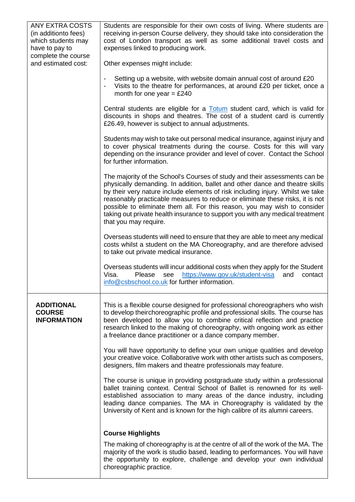| <b>ANY EXTRA COSTS</b>                     | Students are responsible for their own costs of living. Where students are                                                                                                         |
|--------------------------------------------|------------------------------------------------------------------------------------------------------------------------------------------------------------------------------------|
| (in additionto fees)                       | receiving in-person Course delivery, they should take into consideration the                                                                                                       |
| which students may                         | cost of London transport as well as some additional travel costs and                                                                                                               |
| have to pay to                             | expenses linked to producing work.                                                                                                                                                 |
| complete the course<br>and estimated cost: | Other expenses might include:                                                                                                                                                      |
|                                            | Setting up a website, with website domain annual cost of around £20                                                                                                                |
|                                            | Visits to the theatre for performances, at around £20 per ticket, once a                                                                                                           |
|                                            | month for one year = $£240$                                                                                                                                                        |
|                                            | Central students are eligible for a <b>Totum</b> student card, which is valid for                                                                                                  |
|                                            | discounts in shops and theatres. The cost of a student card is currently<br>£26.49, however is subject to annual adjustments.                                                      |
|                                            | Students may wish to take out personal medical insurance, against injury and                                                                                                       |
|                                            | to cover physical treatments during the course. Costs for this will vary<br>depending on the insurance provider and level of cover. Contact the School<br>for further information. |
|                                            | The majority of the School's Courses of study and their assessments can be                                                                                                         |
|                                            | physically demanding. In addition, ballet and other dance and theatre skills<br>by their very nature include elements of risk including injury. Whilst we take                     |
|                                            | reasonably practicable measures to reduce or eliminate these risks, it is not                                                                                                      |
|                                            | possible to eliminate them all. For this reason, you may wish to consider                                                                                                          |
|                                            | taking out private health insurance to support you with any medical treatment<br>that you may require.                                                                             |
|                                            | Overseas students will need to ensure that they are able to meet any medical                                                                                                       |
|                                            | costs whilst a student on the MA Choreography, and are therefore advised<br>to take out private medical insurance.                                                                 |
|                                            | Overseas students will incur additional costs when they apply for the Student                                                                                                      |
|                                            | Visa.<br>https://www.gov.uk/student-visa<br>Please<br>and<br>see<br>contact                                                                                                        |
|                                            | info@csbschool.co.uk for further information.                                                                                                                                      |
| <b>ADDITIONAL</b>                          | This is a flexible course designed for professional choreographers who wish                                                                                                        |
| <b>COURSE</b>                              | to develop theirchoreographic profile and professional skills. The course has                                                                                                      |
| <b>INFORMATION</b>                         | been developed to allow you to combine critical reflection and practice                                                                                                            |
|                                            | research linked to the making of choreography, with ongoing work as either<br>a freelance dance practitioner or a dance company member.                                            |
|                                            |                                                                                                                                                                                    |
|                                            | You will have opportunity to define your own unique qualities and develop                                                                                                          |
|                                            | your creative voice. Collaborative work with other artists such as composers,<br>designers, film makers and theatre professionals may feature.                                     |
|                                            |                                                                                                                                                                                    |
|                                            | The course is unique in providing postgraduate study within a professional<br>ballet training context. Central School of Ballet is renowned for its well-                          |
|                                            | established association to many areas of the dance industry, including                                                                                                             |
|                                            | leading dance companies. The MA in Choreography is validated by the                                                                                                                |
|                                            | University of Kent and is known for the high calibre of its alumni careers.                                                                                                        |
|                                            | <b>Course Highlights</b>                                                                                                                                                           |
|                                            | The making of choreography is at the centre of all of the work of the MA. The                                                                                                      |
|                                            | majority of the work is studio based, leading to performances. You will have                                                                                                       |
|                                            | the opportunity to explore, challenge and develop your own individual<br>choreographic practice.                                                                                   |
|                                            |                                                                                                                                                                                    |